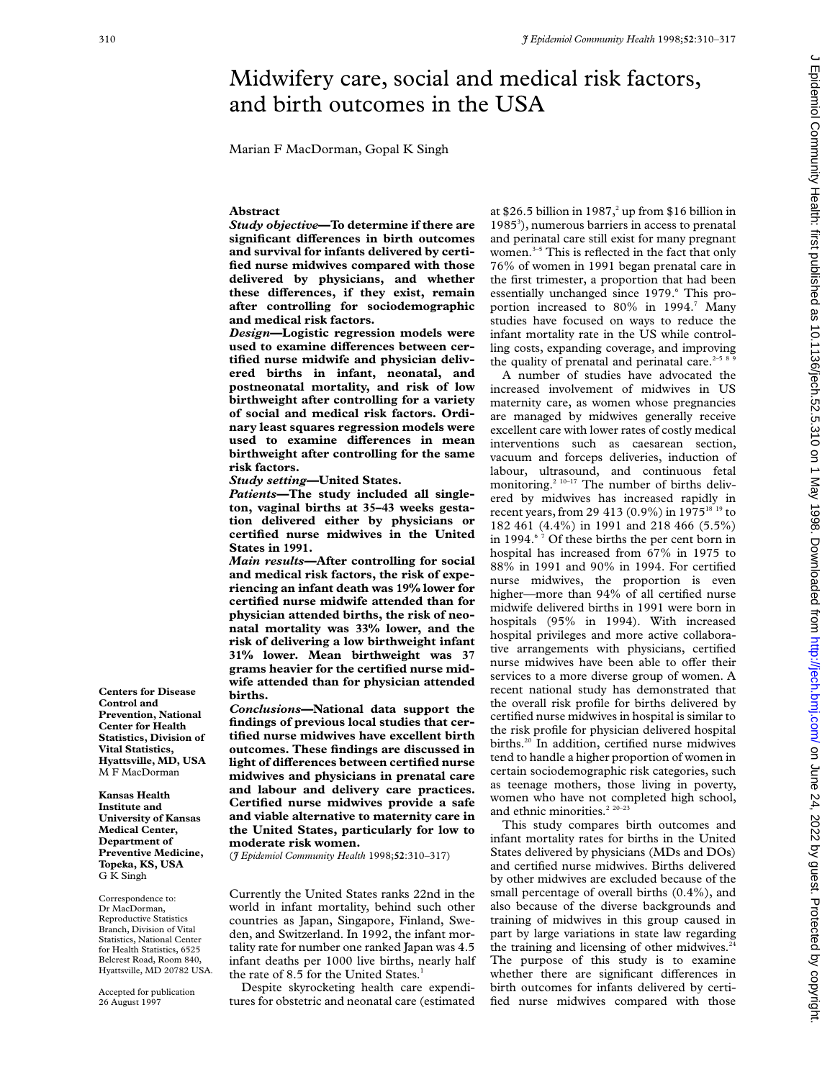# Midwifery care, social and medical risk factors, and birth outcomes in the USA

Marian F MacDorman, Gopal K Singh

# **Abstract**

*Study objective***—To determine if there are significant diVerences in birth outcomes and survival for infants delivered by certified nurse midwives compared with those delivered by physicians, and whether** these differences, if they exist, remain **after controlling for sociodemographic and medical risk factors.**

*Design***—Logistic regression models were** used to examine differences between cer**tified nurse midwife and physician delivered births in infant, neonatal, and postneonatal mortality, and risk of low birthweight after controlling for a variety of social and medical risk factors. Ordinary least squares regression models were** used to examine differences in mean **birthweight after controlling for the same risk factors.**

*Study setting***—United States.**

*Patients***—The study included all singleton, vaginal births at 35–43 weeks gestation delivered either by physicians or certified nurse midwives in the United States in 1991.**

*Main results***—After controlling for social and medical risk factors, the risk of experiencing an infant death was 19% lower for certified nurse midwife attended than for physician attended births, the risk of neonatal mortality was 33% lower, and the risk of delivering a low birthweight infant 31% lower. Mean birthweight was 37 grams heavier for the certified nurse midwife attended than for physician attended births.**

*Conclusions***—National data support the findings of previous local studies that certified nurse midwives have excellent birth outcomes. These findings are discussed in light of differences between certified nurse midwives and physicians in prenatal care and labour and delivery care practices. Certified nurse midwives provide a safe and viable alternative to maternity care in the United States, particularly for low to moderate risk women.**

(*J Epidemiol Community Health* 1998;**52**:310–317)

Currently the United States ranks 22nd in the world in infant mortality, behind such other countries as Japan, Singapore, Finland, Sweden, and Switzerland. In 1992, the infant mortality rate for number one ranked Japan was 4.5 infant deaths per 1000 live births, nearly half the rate of 8.5 for the United States.<sup>1</sup>

Despite skyrocketing health care expenditures for obstetric and neonatal care (estimated at \$26.5 billion in 1987,<sup>2</sup> up from \$16 billion in 1985<sup>3</sup>), numerous barriers in access to prenatal and perinatal care still exist for many pregnant women.<sup>3-5</sup> This is reflected in the fact that only 76% of women in 1991 began prenatal care in the first trimester, a proportion that had been essentially unchanged since 1979.<sup>6</sup> This proportion increased to 80% in 1994.<sup>7</sup> Many studies have focused on ways to reduce the infant mortality rate in the US while controlling costs, expanding coverage, and improving the quality of prenatal and perinatal care. $2-5$ 

A number of studies have advocated the increased involvement of midwives in US maternity care, as women whose pregnancies are managed by midwives generally receive excellent care with lower rates of costly medical interventions such as caesarean section, vacuum and forceps deliveries, induction of labour, ultrasound, and continuous fetal monitoring.<sup>2 10–17</sup> The number of births delivered by midwives has increased rapidly in recent years, from 29 413 (0.9%) in 1975<sup>18 19</sup> to 182 461 (4.4%) in 1991 and 218 466 (5.5%) in 1994. $67$  Of these births the per cent born in hospital has increased from 67% in 1975 to 88% in 1991 and 90% in 1994. For certified nurse midwives, the proportion is even higher—more than 94% of all certified nurse midwife delivered births in 1991 were born in hospitals (95% in 1994). With increased hospital privileges and more active collaborative arrangements with physicians, certified nurse midwives have been able to offer their services to a more diverse group of women. A recent national study has demonstrated that the overall risk profile for births delivered by certified nurse midwives in hospital is similar to the risk profile for physician delivered hospital births.<sup>20</sup> In addition, certified nurse midwives tend to handle a higher proportion of women in certain sociodemographic risk categories, such as teenage mothers, those living in poverty, women who have not completed high school, and ethnic minorities.<sup>2</sup> <sup>20–23</sup>

This study compares birth outcomes and infant mortality rates for births in the United States delivered by physicians (MDs and DOs) and certified nurse midwives. Births delivered by other midwives are excluded because of the small percentage of overall births (0.4%), and also because of the diverse backgrounds and training of midwives in this group caused in part by large variations in state law regarding the training and licensing of other midwives.<sup>2</sup> The purpose of this study is to examine whether there are significant differences in birth outcomes for infants delivered by certified nurse midwives compared with those

**Centers for Disease Control and Prevention, National Center for Health Statistics, Division of Vital Statistics, Hyattsville, MD, USA** M F MacDorman

**Kansas Health Institute and University of Kansas Medical Center, Department of Preventive Medicine, Topeka, KS, USA** G K Singh

Correspondence to: Dr MacDorman, Reproductive Statistics Branch, Division of Vital Statistics, National Center for Health Statistics, 6525 Belcrest Road, Room 840, Hyattsville, MD 20782 USA.

Accepted for publication 26 August 1997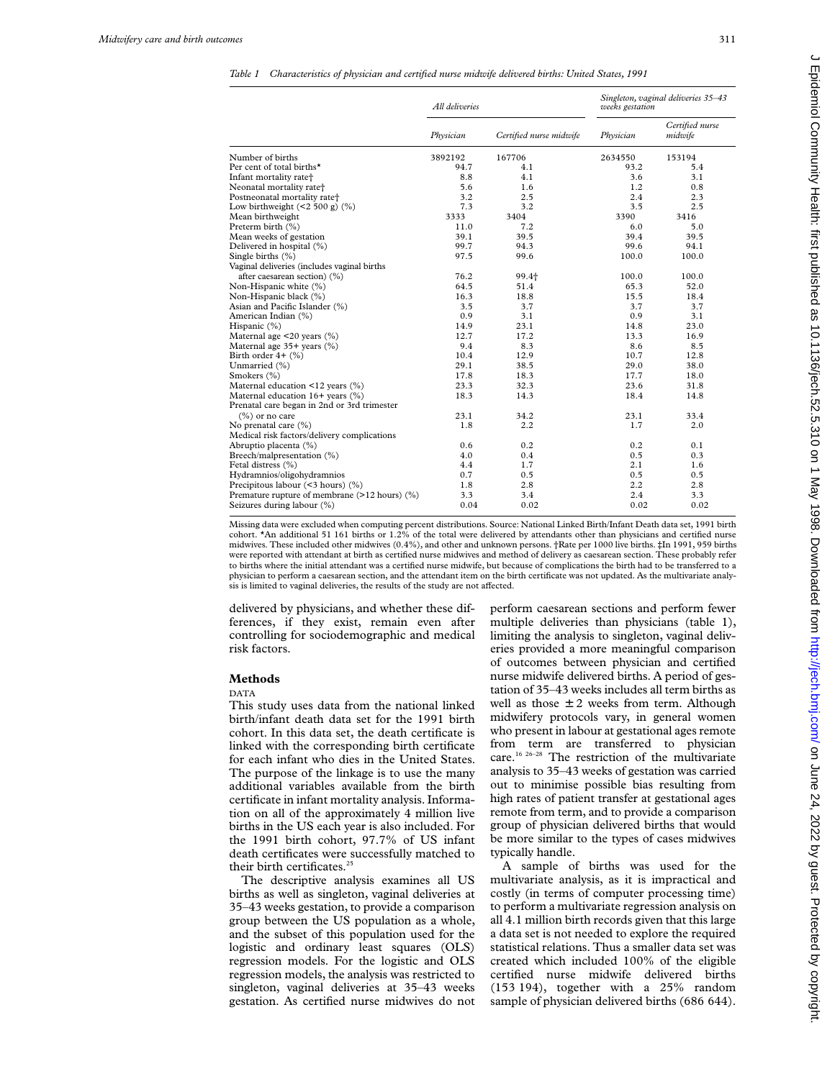*Table 1 Characteristics of physician and certified nurse midwife delivered births: United States, 1991*

|                                               | All deliveries |                         | Singleton, vaginal deliveries 35-43<br>weeks gestation |                            |  |
|-----------------------------------------------|----------------|-------------------------|--------------------------------------------------------|----------------------------|--|
|                                               | Physician      | Certified nurse midwife | Physician                                              | Certified nurse<br>midwife |  |
| Number of births                              | 3892192        | 167706                  | 2634550                                                | 153194                     |  |
| Per cent of total births*                     | 94.7           | 4.1                     | 93.2                                                   | 5.4                        |  |
| Infant mortality rate <sup>+</sup>            | 8.8            | 4.1                     | 3.6                                                    | 3.1                        |  |
| Neonatal mortality rate+                      | 5.6            | 1.6                     | 1.2                                                    | 0.8                        |  |
| Postneonatal mortality rate+                  | 3.2            | 2.5                     | 2.4                                                    | 2.3                        |  |
| Low birthweight $(<2500 g)(%)$                | 7.3            | 3.2                     | 3.5                                                    | 2.5                        |  |
| Mean birthweight                              | 3333           | 3404                    | 3390                                                   | 3416                       |  |
| Preterm birth (%)                             | 11.0           | 7.2                     | 6.0                                                    | 5.0                        |  |
| Mean weeks of gestation                       | 39.1           | 39.5                    | 39.4                                                   | 39.5                       |  |
| Delivered in hospital (%)                     | 99.7           | 94.3                    | 99.6                                                   | 94.1                       |  |
| Single births $(\% )$                         | 97.5           | 99.6                    | 100.0                                                  | 100.0                      |  |
| Vaginal deliveries (includes vaginal births   |                |                         |                                                        |                            |  |
| after caesarean section) (%)                  | 76.2           | 99.4+                   | 100.0                                                  | 100.0                      |  |
| Non-Hispanic white (%)                        | 64.5           | 51.4                    | 65.3                                                   | 52.0                       |  |
| Non-Hispanic black (%)                        | 16.3           | 18.8                    | 15.5                                                   | 18.4                       |  |
| Asian and Pacific Islander (%)                | 3.5            | 3.7                     | 3.7                                                    | 3.7                        |  |
| American Indian (%)                           | 0.9            | 3.1                     | 0.9                                                    | 3.1                        |  |
| Hispanic (%)                                  | 14.9           | 23.1                    | 14.8                                                   | 23.0                       |  |
| Maternal age <20 years (%)                    | 12.7           | 17.2                    | 13.3                                                   | 16.9                       |  |
| Maternal age 35+ years (%)                    | 9.4            | 8.3                     | 8.6                                                    | 8.5                        |  |
| Birth order $4+$ $(%)$                        | 10.4           | 12.9                    | 10.7                                                   | 12.8                       |  |
| Unmarried (%)                                 | 29.1           | 38.5                    | 29.0                                                   | 38.0                       |  |
| Smokers (%)                                   | 17.8           | 18.3                    | 17.7                                                   | 18.0                       |  |
| Maternal education <12 years (%)              | 23.3           | 32.3                    | 23.6                                                   | 31.8                       |  |
| Maternal education $16+$ years $(\%)$         | 18.3           | 14.3                    | 18.4                                                   | 14.8                       |  |
| Prenatal care began in 2nd or 3rd trimester   |                |                         |                                                        |                            |  |
| $(\%)$ or no care                             | 23.1           | 34.2                    | 23.1                                                   | 33.4                       |  |
| No prenatal care (%)                          | 1.8            | 2.2                     | 1.7                                                    | 2.0                        |  |
| Medical risk factors/delivery complications   |                |                         |                                                        |                            |  |
| Abruptio placenta (%)                         | 0.6            | 0.2                     | 0.2                                                    | 0.1                        |  |
| Breech/malpresentation (%)                    | 4.0            | 0.4                     | 0.5                                                    | 0.3                        |  |
| Fetal distress (%)                            | 4.4            | 1.7                     | 2.1                                                    | 1.6                        |  |
| Hydramnios/oligohydramnios                    | 0.7            | 0.5                     | 0.5                                                    | 0.5                        |  |
| Precipitous labour $(\leq 3$ hours) $(\%)$    | 1.8            | 2.8                     | 2.2                                                    | 2.8                        |  |
| Premature rupture of membrane (>12 hours) (%) | 3.3            | 3.4                     | 2.4                                                    | 3.3                        |  |
| Seizures during labour (%)                    | 0.04           | 0.02                    | 0.02                                                   | 0.02                       |  |

Missing data were excluded when computing percent distributions. Source: National Linked Birth/Infant Death data set, 1991 birth cohort. \*An additional 51 161 births or 1.2% of the total were delivered by attendants other than physicians and certified nurse midwives. These included other midwives (0.4%), and other and unknown persons. †Rate per 1000 live births. ‡In 1991, 959 births were reported with attendant at birth as certified nurse midwives and method of delivery as caesarean section. These probably refer to births where the initial attendant was a certified nurse midwife, but because of complications the birth had to be transferred to a physician to perform a caesarean section, and the attendant item on the birth certificate was not updated. As the multivariate analysis is limited to vaginal deliveries, the results of the study are not affected.

delivered by physicians, and whether these differences, if they exist, remain even after controlling for sociodemographic and medical risk factors.

#### **Methods**

DATA

This study uses data from the national linked birth/infant death data set for the 1991 birth cohort. In this data set, the death certificate is linked with the corresponding birth certificate for each infant who dies in the United States. The purpose of the linkage is to use the many additional variables available from the birth certificate in infant mortality analysis. Information on all of the approximately 4 million live births in the US each year is also included. For the 1991 birth cohort, 97.7% of US infant death certificates were successfully matched to their birth certificates.<sup>25</sup>

The descriptive analysis examines all US births as well as singleton, vaginal deliveries at 35–43 weeks gestation, to provide a comparison group between the US population as a whole, and the subset of this population used for the logistic and ordinary least squares (OLS) regression models. For the logistic and OLS regression models, the analysis was restricted to singleton, vaginal deliveries at 35–43 weeks gestation. As certified nurse midwives do not

perform caesarean sections and perform fewer multiple deliveries than physicians (table 1), limiting the analysis to singleton, vaginal deliveries provided a more meaningful comparison of outcomes between physician and certified nurse midwife delivered births. A period of gestation of 35–43 weeks includes all term births as well as those  $\pm$  2 weeks from term. Although midwifery protocols vary, in general women who present in labour at gestational ages remote from term are transferred to physician care.16 26–28 The restriction of the multivariate analysis to 35–43 weeks of gestation was carried out to minimise possible bias resulting from high rates of patient transfer at gestational ages remote from term, and to provide a comparison group of physician delivered births that would be more similar to the types of cases midwives typically handle.

A sample of births was used for the multivariate analysis, as it is impractical and costly (in terms of computer processing time) to perform a multivariate regression analysis on all 4.1 million birth records given that this large a data set is not needed to explore the required statistical relations. Thus a smaller data set was created which included 100% of the eligible certified nurse midwife delivered births (153 194), together with a 25% random sample of physician delivered births (686 644).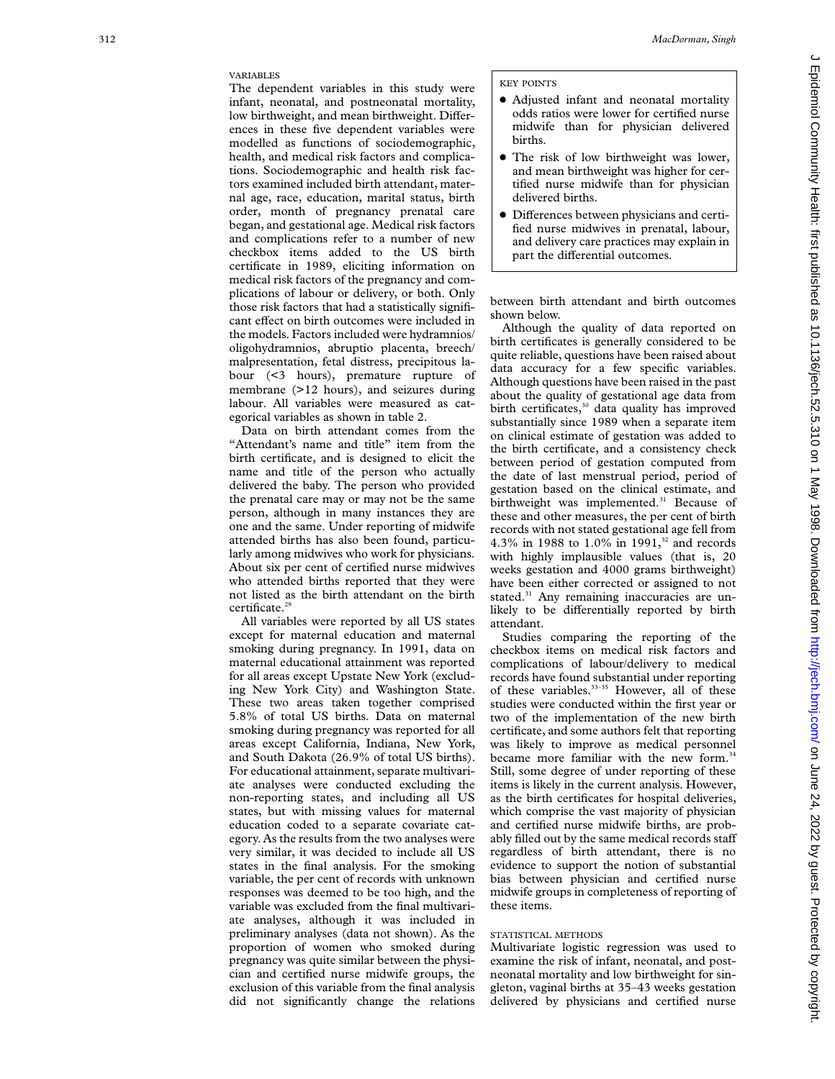# VARIABLES

The dependent variables in this study were infant, neonatal, and postneonatal mortality, low birthweight, and mean birthweight. Differences in these five dependent variables were modelled as functions of sociodemographic, health, and medical risk factors and complications. Sociodemographic and health risk factors examined included birth attendant, maternal age, race, education, marital status, birth order, month of pregnancy prenatal care began, and gestational age. Medical risk factors and complications refer to a number of new checkbox items added to the US birth certificate in 1989, eliciting information on medical risk factors of the pregnancy and complications of labour or delivery, or both. Only those risk factors that had a statistically significant effect on birth outcomes were included in the models. Factors included were hydramnios/ oligohydramnios, abruptio placenta, breech/ malpresentation, fetal distress, precipitous labour (<3 hours), premature rupture of membrane (>12 hours), and seizures during labour. All variables were measured as categorical variables as shown in table 2.

Data on birth attendant comes from the "Attendant's name and title" item from the birth certificate, and is designed to elicit the name and title of the person who actually delivered the baby. The person who provided the prenatal care may or may not be the same person, although in many instances they are one and the same. Under reporting of midwife attended births has also been found, particularly among midwives who work for physicians. About six per cent of certified nurse midwives who attended births reported that they were not listed as the birth attendant on the birth certificate.<sup>29</sup>

All variables were reported by all US states except for maternal education and maternal smoking during pregnancy. In 1991, data on maternal educational attainment was reported for all areas except Upstate New York (excluding New York City) and Washington State. These two areas taken together comprised 5.8% of total US births. Data on maternal smoking during pregnancy was reported for all areas except California, Indiana, New York, and South Dakota (26.9% of total US births). For educational attainment, separate multivariate analyses were conducted excluding the non-reporting states, and including all US states, but with missing values for maternal education coded to a separate covariate category. As the results from the two analyses were very similar, it was decided to include all US states in the final analysis. For the smoking variable, the per cent of records with unknown responses was deemed to be too high, and the variable was excluded from the final multivariate analyses, although it was included in preliminary analyses (data not shown). As the proportion of women who smoked during pregnancy was quite similar between the physician and certified nurse midwife groups, the exclusion of this variable from the final analysis did not significantly change the relations

#### KEY POINTS

- Adjusted infant and neonatal mortality odds ratios were lower for certified nurse midwife than for physician delivered births.
- The risk of low birthweight was lower, and mean birthweight was higher for certified nurse midwife than for physician delivered births.
- $\bullet$  Differences between physicians and certified nurse midwives in prenatal, labour, and delivery care practices may explain in part the differential outcomes.

between birth attendant and birth outcomes shown below.

Although the quality of data reported on birth certificates is generally considered to be quite reliable, questions have been raised about data accuracy for a few specific variables. Although questions have been raised in the past about the quality of gestational age data from birth certificates,<sup>30</sup> data quality has improved substantially since 1989 when a separate item on clinical estimate of gestation was added to the birth certificate, and a consistency check between period of gestation computed from the date of last menstrual period, period of gestation based on the clinical estimate, and birthweight was implemented.<sup>31</sup> Because of these and other measures, the per cent of birth records with not stated gestational age fell from 4.3% in 1988 to 1.0% in 1991,<sup>32</sup> and records with highly implausible values (that is, 20 weeks gestation and 4000 grams birthweight) have been either corrected or assigned to not stated.<sup>31</sup> Any remaining inaccuracies are unlikely to be differentially reported by birth attendant.

Studies comparing the reporting of the checkbox items on medical risk factors and complications of labour/delivery to medical records have found substantial under reporting of these variables.<sup>33-35</sup> However, all of these studies were conducted within the first year or two of the implementation of the new birth certificate, and some authors felt that reporting was likely to improve as medical personnel became more familiar with the new form.<sup>34</sup> Still, some degree of under reporting of these items is likely in the current analysis. However, as the birth certificates for hospital deliveries, which comprise the vast majority of physician and certified nurse midwife births, are probably filled out by the same medical records staff regardless of birth attendant, there is no evidence to support the notion of substantial bias between physician and certified nurse midwife groups in completeness of reporting of these items.

# STATISTICAL METHODS

Multivariate logistic regression was used to examine the risk of infant, neonatal, and postneonatal mortality and low birthweight for singleton, vaginal births at 35–43 weeks gestation delivered by physicians and certified nurse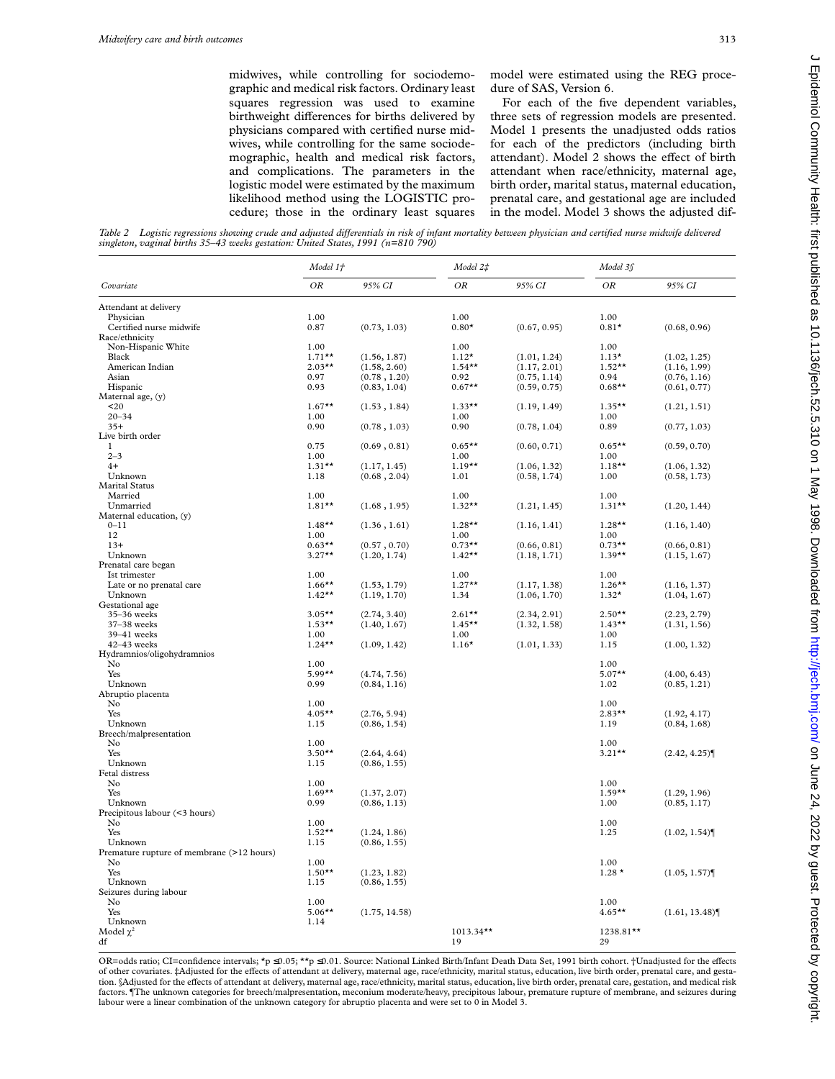midwives, while controlling for sociodemographic and medical risk factors. Ordinary least squares regression was used to examine birthweight differences for births delivered by physicians compared with certified nurse midwives, while controlling for the same sociodemographic, health and medical risk factors, and complications. The parameters in the logistic model were estimated by the maximum likelihood method using the LOGISTIC procedure; those in the ordinary least squares

model were estimated using the REG procedure of SAS, Version 6.

For each of the five dependent variables, three sets of regression models are presented. Model 1 presents the unadjusted odds ratios for each of the predictors (including birth attendant). Model 2 shows the effect of birth attendant when race/ethnicity, maternal age, birth order, marital status, maternal education, prenatal care, and gestational age are included in the model. Model 3 shows the adjusted dif-

*Table 2 Logistic regressions showing crude and adjusted diVerentials in risk of infant mortality between physician and certified nurse midwife delivered singleton, vaginal births 35–43 weeks gestation: United States, 1991 (n=810 790)*

|                                           | Model 1+  |               | Model 2‡     |              | Model 3\$ |               |
|-------------------------------------------|-----------|---------------|--------------|--------------|-----------|---------------|
| Covariate                                 | OR        | 95% CI        | ΟR           | 95% CI       | ΟR        | 95% CI        |
| Attendant at delivery                     |           |               |              |              |           |               |
| Physician                                 | 1.00      |               | 1.00         |              | 1.00      |               |
| Certified nurse midwife                   | 0.87      | (0.73, 1.03)  | $0.80*$      | (0.67, 0.95) | $0.81*$   | (0.68, 0.96)  |
| Race/ethnicity                            |           |               |              |              |           |               |
| Non-Hispanic White                        | 1.00      |               | 1.00         |              | 1.00      |               |
| Black                                     | $1.71**$  | (1.56, 1.87)  | $1.12*$      | (1.01, 1.24) | $1.13*$   | (1.02, 1.25)  |
| American Indian                           | $2.03**$  | (1.58, 2.60)  | $1.54***$    | (1.17, 2.01) | $1.52**$  | (1.16, 1.99)  |
| Asian                                     | 0.97      | (0.78, 1.20)  | 0.92         | (0.75, 1.14) | 0.94      | (0.76, 1.16)  |
| Hispanic                                  | 0.93      | (0.83, 1.04)  | $0.67**$     | (0.59, 0.75) | $0.68**$  | (0.61, 0.77)  |
| Maternal age, (y)                         |           |               |              |              |           |               |
| 20                                        | $1.67**$  | (1.53, 1.84)  | $1.33***$    | (1.19, 1.49) | $1.35***$ | (1.21, 1.51)  |
| $20 - 34$                                 | 1.00      |               | 1.00         |              | 1.00      |               |
| $35+$                                     | 0.90      | (0.78, 1.03)  | 0.90         | (0.78, 1.04) | 0.89      | (0.77, 1.03)  |
| Live birth order                          |           |               |              |              |           |               |
| $\mathbf{1}$                              | 0.75      | (0.69, 0.81)  | $0.65***$    | (0.60, 0.71) | $0.65***$ | (0.59, 0.70)  |
| $2 - 3$                                   | 1.00      |               | 1.00         |              | 1.00      |               |
| $4+$                                      | $1.31**$  | (1.17, 1.45)  | $1.19**$     | (1.06, 1.32) | $1.18***$ | (1.06, 1.32)  |
| Unknown                                   | 1.18      | (0.68, 2.04)  | 1.01         | (0.58, 1.74) | 1.00      | (0.58, 1.73)  |
| <b>Marital Status</b>                     |           |               |              |              |           |               |
|                                           |           |               |              |              |           |               |
| Married                                   | 1.00      |               | 1.00         |              | 1.00      |               |
| Unmarried                                 | $1.81**$  | (1.68, 1.95)  | $1.32**$     | (1.21, 1.45) | $1.31**$  | (1.20, 1.44)  |
| Maternal education, (y)                   |           |               |              |              |           |               |
| $0 - 11$                                  | $1.48**$  | (1.36, 1.61)  | $1.28**$     | (1.16, 1.41) | $1.28**$  | (1.16, 1.40)  |
| 12                                        | 1.00      |               | 1.00         |              | 1.00      |               |
| $13+$                                     | $0.63**$  | (0.57, 0.70)  | $0.73**$     | (0.66, 0.81) | $0.73**$  | (0.66, 0.81)  |
| Unknown                                   | $3.27**$  | (1.20, 1.74)  | $1.42**$     | (1.18, 1.71) | $1.39**$  | (1.15, 1.67)  |
| Prenatal care began                       |           |               |              |              |           |               |
| Ist trimester                             | 1.00      |               | 1.00         |              | 1.00      |               |
| Late or no prenatal care                  | $1.66***$ | (1.53, 1.79)  | $1.27**$     | (1.17, 1.38) | $1.26***$ | (1.16, 1.37)  |
| Unknown                                   | $1.42**$  | (1.19, 1.70)  | 1.34         | (1.06, 1.70) | $1.32*$   | (1.04, 1.67)  |
| Gestational age                           |           |               |              |              |           |               |
| 35-36 weeks                               | $3.05***$ | (2.74, 3.40)  | $2.61***$    | (2.34, 2.91) | $2.50**$  | (2.23, 2.79)  |
| 37-38 weeks                               | $1.53***$ | (1.40, 1.67)  | $1.45***$    | (1.32, 1.58) | $1.43**$  | (1.31, 1.56)  |
| 39-41 weeks                               | 1.00      |               | 1.00         |              | 1.00      |               |
| $42 - 43$ weeks                           | $1.24**$  | (1.09, 1.42)  | $1.16*$      | (1.01, 1.33) | 1.15      | (1.00, 1.32)  |
| Hydramnios/oligohydramnios                |           |               |              |              |           |               |
| No                                        | 1.00      |               |              |              | 1.00      |               |
| Yes                                       | $5.99***$ | (4.74, 7.56)  |              |              | $5.07**$  | (4.00, 6.43)  |
| Unknown                                   | 0.99      | (0.84, 1.16)  |              |              | 1.02      | (0.85, 1.21)  |
| Abruptio placenta                         |           |               |              |              |           |               |
| No                                        | 1.00      |               |              |              | 1.00      |               |
| Yes                                       | $4.05***$ | (2.76, 5.94)  |              |              | $2.83**$  | (1.92, 4.17)  |
| Unknown                                   | 1.15      | (0.86, 1.54)  |              |              | 1.19      | (0.84, 1.68)  |
| Breech/malpresentation                    |           |               |              |              |           |               |
| No                                        | 1.00      |               |              |              | 1.00      |               |
| Yes                                       | $3.50**$  | (2.64, 4.64)  |              |              | $3.21**$  | (2.42, 4.25)  |
| Unknown                                   | 1.15      | (0.86, 1.55)  |              |              |           |               |
| Fetal distress                            |           |               |              |              |           |               |
| No                                        | 1.00      |               |              |              | 1.00      |               |
| Yes                                       | $1.69***$ | (1.37, 2.07)  |              |              | $1.59**$  | (1.29, 1.96)  |
| Unknown                                   | 0.99      | (0.86, 1.13)  |              |              | 1.00      | (0.85, 1.17)  |
| Precipitous labour (<3 hours)             |           |               |              |              |           |               |
| No                                        | 1.00      |               |              |              | 1.00      |               |
| Yes                                       | $1.52**$  | (1.24, 1.86)  |              |              | 1.25      | (1.02, 1.54)  |
| Unknown                                   | 1.15      | (0.86, 1.55)  |              |              |           |               |
| Premature rupture of membrane (>12 hours) |           |               |              |              |           |               |
| No                                        | 1.00      |               |              |              | 1.00      |               |
| Yes                                       | $1.50**$  | (1.23, 1.82)  |              |              | $1.28*$   | (1.05, 1.57)  |
| Unknown                                   | 1.15      | (0.86, 1.55)  |              |              |           |               |
| Seizures during labour                    |           |               |              |              |           |               |
| No                                        | 1.00      |               |              |              | 1.00      |               |
|                                           | $5.06***$ |               |              |              | $4.65***$ |               |
| Yes                                       |           | (1.75, 14.58) |              |              |           | (1.61, 13.48) |
| Unknown                                   | 1.14      |               | $1013.34***$ |              | 1238.81** |               |
| Model $\chi^2$                            |           |               |              |              |           |               |
| df                                        |           |               | 19           |              | 29        |               |

OR=odds ratio; CI=confidence intervals; \*p ≤0.05; \*\*p ≤0.01. Source: National Linked Birth/Infant Death Data Set, 1991 birth cohort. †Unadjusted for the effects of other covariates. ‡Adjusted for the effects of attendant at delivery, maternal age, race/ethnicity, marital status, education, live birth order, prenatal care, and gestation. §Adjusted for the effects of attendant at delivery, maternal age, race/ethnicity, marital status, education, live birth order, prenatal care, gestation, and medical risk factors. ¶The unknown categories for breech/malpresentation, meconium moderate/heavy, precipitous labour, premature rupture of membrane, and seizures during labour were a linear combination of the unknown category for abruptio placenta and were set to 0 in Model 3.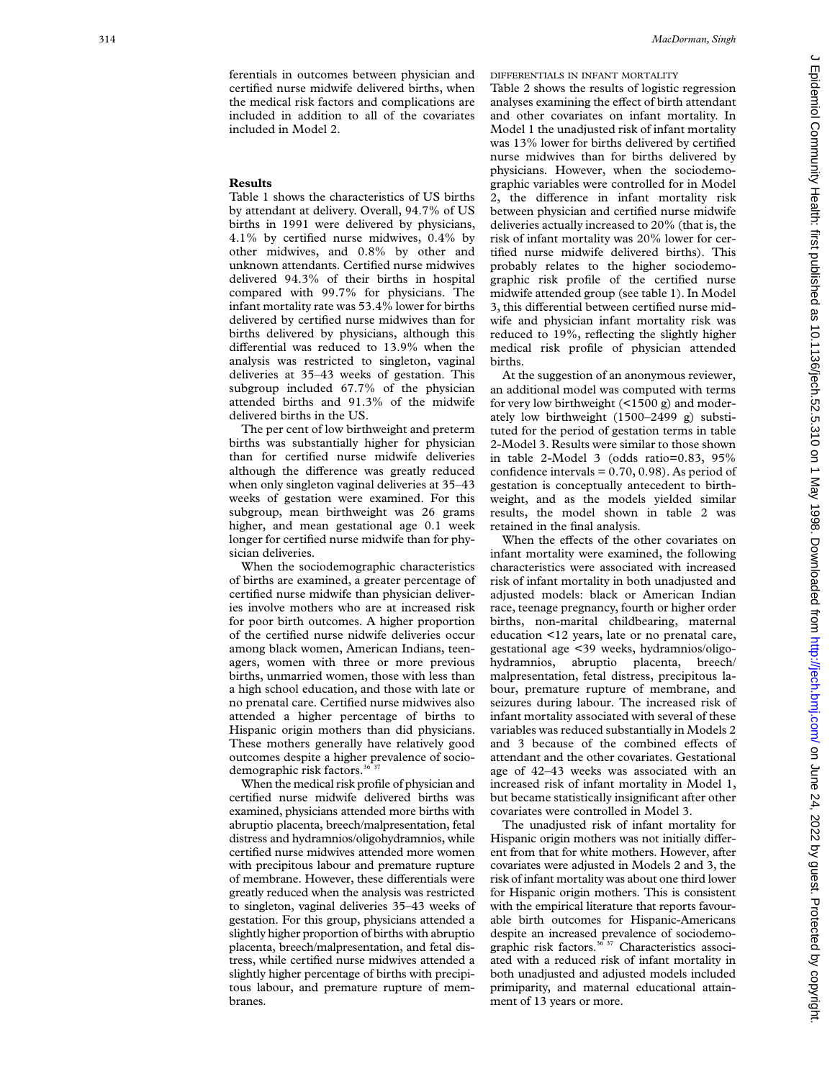ferentials in outcomes between physician and certified nurse midwife delivered births, when the medical risk factors and complications are included in addition to all of the covariates included in Model 2.

## **Results**

Table 1 shows the characteristics of US births by attendant at delivery. Overall, 94.7% of US births in 1991 were delivered by physicians, 4.1% by certified nurse midwives, 0.4% by other midwives, and 0.8% by other and unknown attendants. Certified nurse midwives delivered 94.3% of their births in hospital compared with 99.7% for physicians. The infant mortality rate was 53.4% lower for births delivered by certified nurse midwives than for births delivered by physicians, although this differential was reduced to 13.9% when the analysis was restricted to singleton, vaginal deliveries at 35–43 weeks of gestation. This subgroup included 67.7% of the physician attended births and 91.3% of the midwife delivered births in the US.

The per cent of low birthweight and preterm births was substantially higher for physician than for certified nurse midwife deliveries although the difference was greatly reduced when only singleton vaginal deliveries at 35–43 weeks of gestation were examined. For this subgroup, mean birthweight was 26 grams higher, and mean gestational age 0.1 week longer for certified nurse midwife than for physician deliveries.

When the sociodemographic characteristics of births are examined, a greater percentage of certified nurse midwife than physician deliveries involve mothers who are at increased risk for poor birth outcomes. A higher proportion of the certified nurse nidwife deliveries occur among black women, American Indians, teenagers, women with three or more previous births, unmarried women, those with less than a high school education, and those with late or no prenatal care. Certified nurse midwives also attended a higher percentage of births to Hispanic origin mothers than did physicians. These mothers generally have relatively good outcomes despite a higher prevalence of sociodemographic risk factors.<sup>36</sup>

When the medical risk profile of physician and certified nurse midwife delivered births was examined, physicians attended more births with abruptio placenta, breech/malpresentation, fetal distress and hydramnios/oligohydramnios, while certified nurse midwives attended more women with precipitous labour and premature rupture of membrane. However, these differentials were greatly reduced when the analysis was restricted to singleton, vaginal deliveries 35–43 weeks of gestation. For this group, physicians attended a slightly higher proportion of births with abruptio placenta, breech/malpresentation, and fetal distress, while certified nurse midwives attended a slightly higher percentage of births with precipitous labour, and premature rupture of membranes.

DIFFERENTIALS IN INFANT MORTALITY

Table 2 shows the results of logistic regression analyses examining the effect of birth attendant and other covariates on infant mortality. In Model 1 the unadjusted risk of infant mortality was 13% lower for births delivered by certified nurse midwives than for births delivered by physicians. However, when the sociodemographic variables were controlled for in Model 2, the difference in infant mortality risk between physician and certified nurse midwife deliveries actually increased to 20% (that is, the risk of infant mortality was 20% lower for certified nurse midwife delivered births). This probably relates to the higher sociodemographic risk profile of the certified nurse midwife attended group (see table 1). In Model 3, this differential between certified nurse midwife and physician infant mortality risk was reduced to 19%, reflecting the slightly higher medical risk profile of physician attended births.

At the suggestion of an anonymous reviewer, an additional model was computed with terms for very low birthweight (<1500 g) and moderately low birthweight (1500–2499 g) substituted for the period of gestation terms in table 2-Model 3. Results were similar to those shown in table 2-Model 3 (odds ratio=0.83, 95% confidence intervals  $= 0.70, 0.98$ . As period of gestation is conceptually antecedent to birthweight, and as the models yielded similar results, the model shown in table 2 was retained in the final analysis.

When the effects of the other covariates on infant mortality were examined, the following characteristics were associated with increased risk of infant mortality in both unadjusted and adjusted models: black or American Indian race, teenage pregnancy, fourth or higher order births, non-marital childbearing, maternal education <12 years, late or no prenatal care, gestational age <39 weeks, hydramnios/oligohydramnios, abruptio placenta, breech/ malpresentation, fetal distress, precipitous labour, premature rupture of membrane, and seizures during labour. The increased risk of infant mortality associated with several of these variables was reduced substantially in Models 2 and 3 because of the combined effects of attendant and the other covariates. Gestational age of 42–43 weeks was associated with an increased risk of infant mortality in Model 1, but became statistically insignificant after other covariates were controlled in Model 3.

The unadjusted risk of infant mortality for Hispanic origin mothers was not initially different from that for white mothers. However, after covariates were adjusted in Models 2 and 3, the risk of infant mortality was about one third lower for Hispanic origin mothers. This is consistent with the empirical literature that reports favourable birth outcomes for Hispanic-Americans despite an increased prevalence of sociodemographic risk factors.<sup>36 37</sup> Characteristics associated with a reduced risk of infant mortality in both unadjusted and adjusted models included primiparity, and maternal educational attainment of 13 years or more.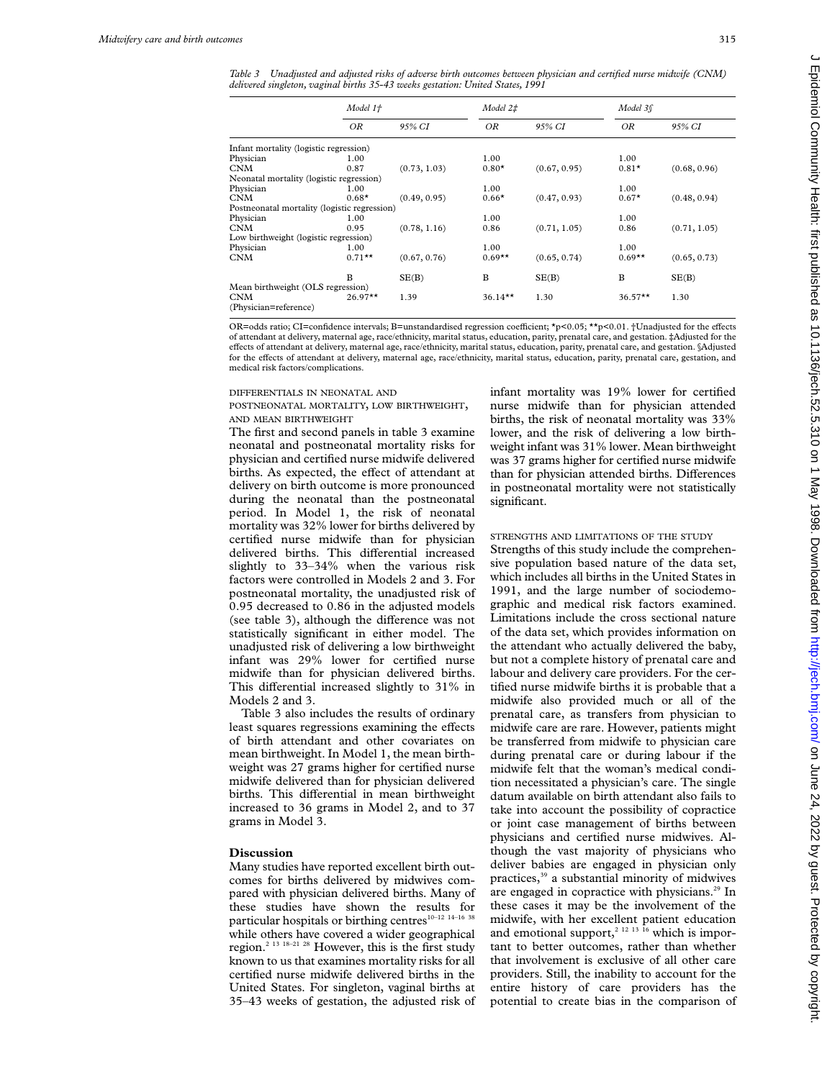*Table 3 Unadjusted and adjusted risks of adverse birth outcomes between physician and certified nurse midwife (CNM) delivered singleton, vaginal births 35-43 weeks gestation: United States, 1991*

|                                              | Model 1+  |              | Model 2‡  |              |           |              |
|----------------------------------------------|-----------|--------------|-----------|--------------|-----------|--------------|
|                                              | ΟR        | 95% CI       | OR        | 95% CI       | OR        | 95% CI       |
| Infant mortality (logistic regression)       |           |              |           |              |           |              |
| Physician                                    | 1.00      |              | 1.00      |              | 1.00      |              |
| <b>CNM</b>                                   | 0.87      | (0.73, 1.03) | $0.80*$   | (0.67, 0.95) | $0.81*$   | (0.68, 0.96) |
| Neonatal mortality (logistic regression)     |           |              |           |              |           |              |
| Physician                                    | 1.00      |              | 1.00      |              | 1.00      |              |
| <b>CNM</b>                                   | $0.68*$   | (0.49, 0.95) | $0.66*$   | (0.47, 0.93) | $0.67*$   | (0.48, 0.94) |
| Postneonatal mortality (logistic regression) |           |              |           |              |           |              |
| Physician                                    | 1.00      |              | 1.00      |              | 1.00      |              |
| <b>CNM</b>                                   | 0.95      | (0.78, 1.16) | 0.86      | (0.71, 1.05) | 0.86      | (0.71, 1.05) |
| Low birthweight (logistic regression)        |           |              |           |              |           |              |
| Physician                                    | 1.00      |              | 1.00      |              | 1.00      |              |
| <b>CNM</b>                                   | $0.71***$ | (0.67, 0.76) | $0.69**$  | (0.65, 0.74) | $0.69**$  | (0.65, 0.73) |
|                                              | B         | SE(B)        | B         | SE(B)        | B         | SE(B)        |
| Mean birthweight (OLS regression)            |           |              |           |              |           |              |
| <b>CNM</b><br>(Physician=reference)          | $26.97**$ | 1.39         | $36.14**$ | 1.30         | $36.57**$ | 1.30         |

OR=odds ratio; CI=confidence intervals; B=unstandardised regression coefficient; \*p<0.05; \*\*p<0.01. †Unadjusted for the effects of attendant at delivery, maternal age, race/ethnicity, marital status, education, parity, prenatal care, and gestation. ‡Adjusted for the effects of attendant at delivery, maternal age, race/ethnicity, marital status, education, parity, prenatal care, and gestation. §Adjusted for the effects of attendant at delivery, maternal age, race/ethnicity, marital status, education, parity, prenatal care, gestation, and medical risk factors/complications.

#### DIFFERENTIALS IN NEONATAL AND

#### POSTNEONATAL MORTALITY, LOW BIRTHWEIGHT, AND MEAN BIRTHWEIGHT

The first and second panels in table 3 examine neonatal and postneonatal mortality risks for physician and certified nurse midwife delivered births. As expected, the effect of attendant at delivery on birth outcome is more pronounced during the neonatal than the postneonatal period. In Model 1, the risk of neonatal mortality was 32% lower for births delivered by certified nurse midwife than for physician delivered births. This differential increased slightly to 33–34% when the various risk factors were controlled in Models 2 and 3. For postneonatal mortality, the unadjusted risk of 0.95 decreased to 0.86 in the adjusted models (see table 3), although the difference was not statistically significant in either model. The unadjusted risk of delivering a low birthweight infant was 29% lower for certified nurse midwife than for physician delivered births. This differential increased slightly to  $31\%$  in Models 2 and 3.

Table 3 also includes the results of ordinary least squares regressions examining the effects of birth attendant and other covariates on mean birthweight. In Model 1, the mean birthweight was 27 grams higher for certified nurse midwife delivered than for physician delivered births. This differential in mean birthweight increased to 36 grams in Model 2, and to 37 grams in Model 3.

# **Discussion**

Many studies have reported excellent birth outcomes for births delivered by midwives compared with physician delivered births. Many of these studies have shown the results for particular hospitals or birthing centres<sup>10-12</sup> <sup>14-16</sup> <sup>38</sup> while others have covered a wider geographical region.2 13 18–21 28 However, this is the first study known to us that examines mortality risks for all certified nurse midwife delivered births in the United States. For singleton, vaginal births at 35–43 weeks of gestation, the adjusted risk of infant mortality was 19% lower for certified nurse midwife than for physician attended births, the risk of neonatal mortality was 33% lower, and the risk of delivering a low birthweight infant was 31% lower. Mean birthweight was 37 grams higher for certified nurse midwife than for physician attended births. Differences in postneonatal mortality were not statistically significant.

# STRENGTHS AND LIMITATIONS OF THE STUDY

Strengths of this study include the comprehensive population based nature of the data set, which includes all births in the United States in 1991, and the large number of sociodemographic and medical risk factors examined. Limitations include the cross sectional nature of the data set, which provides information on the attendant who actually delivered the baby, but not a complete history of prenatal care and labour and delivery care providers. For the certified nurse midwife births it is probable that a midwife also provided much or all of the prenatal care, as transfers from physician to midwife care are rare. However, patients might be transferred from midwife to physician care during prenatal care or during labour if the midwife felt that the woman's medical condition necessitated a physician's care. The single datum available on birth attendant also fails to take into account the possibility of copractice or joint case management of births between physicians and certified nurse midwives. Although the vast majority of physicians who deliver babies are engaged in physician only practices,<sup>39</sup> a substantial minority of midwives are engaged in copractice with physicians.<sup>29</sup> In these cases it may be the involvement of the midwife, with her excellent patient education and emotional support,<sup>2 12 13 16</sup> which is important to better outcomes, rather than whether that involvement is exclusive of all other care providers. Still, the inability to account for the entire history of care providers has the potential to create bias in the comparison of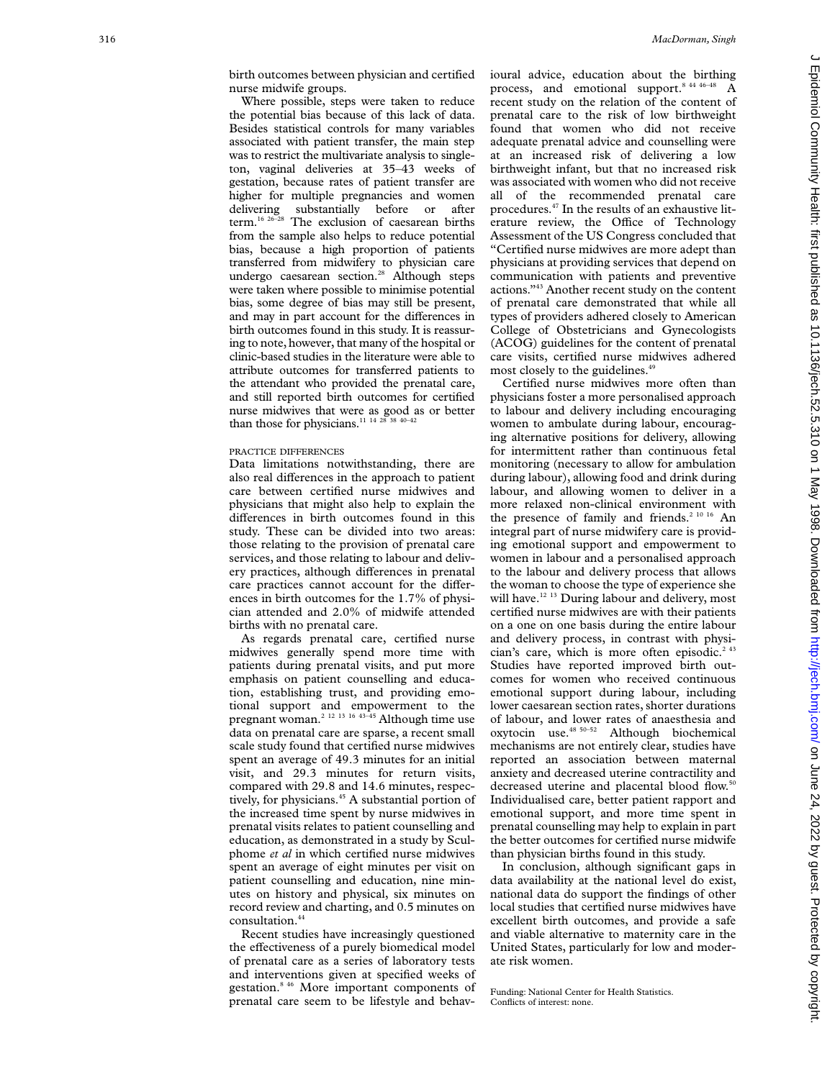birth outcomes between physician and certified nurse midwife groups.

Where possible, steps were taken to reduce the potential bias because of this lack of data. Besides statistical controls for many variables associated with patient transfer, the main step was to restrict the multivariate analysis to singleton, vaginal deliveries at 35–43 weeks of gestation, because rates of patient transfer are higher for multiple pregnancies and women<br>delivering substantially before or after<br>term.<sup>16 26-28</sup> The exclusion of caesarean births substantially before or after The exclusion of caesarean births from the sample also helps to reduce potential bias, because a high proportion of patients transferred from midwifery to physician care undergo caesarean section.<sup>28</sup> Although steps were taken where possible to minimise potential bias, some degree of bias may still be present, and may in part account for the differences in birth outcomes found in this study. It is reassuring to note, however, that many of the hospital or clinic-based studies in the literature were able to attribute outcomes for transferred patients to the attendant who provided the prenatal care, and still reported birth outcomes for certified nurse midwives that were as good as or better than those for physicians.<sup>11 14 28 38 40-42</sup>

#### PRACTICE DIFFERENCES

Data limitations notwithstanding, there are also real differences in the approach to patient care between certified nurse midwives and physicians that might also help to explain the di Verences in birth outcomes found in this study. These can be divided into two areas: those relating to the provision of prenatal care services, and those relating to labour and delivery practices, although differences in prenatal care practices cannot account for the differences in birth outcomes for the 1.7% of physician attended and 2.0% of midwife attended births with no prenatal care.

As regards prenatal care, certified nurse midwives generally spend more time with patients during prenatal visits, and put more emphasis on patient counselling and education, establishing trust, and providing emotional support and empowerment to the pregnant woman.2 12 13 16 43–45 Although time use data on prenatal care are sparse, a recent small scale study found that certified nurse midwives spent an average of 49.3 minutes for an initial visit, and 29.3 minutes for return visits, compared with 29.8 and 14.6 minutes, respectively, for physicians.<sup>45</sup> A substantial portion of the increased time spent by nurse midwives in prenatal visits relates to patient counselling and education, as demonstrated in a study by Sculphome *et al* in which certified nurse midwives spent an average of eight minutes per visit on patient counselling and education, nine minutes on history and physical, six minutes on record review and charting, and 0.5 minutes on consultation.<sup>4</sup>

Recent studies have increasingly questioned the effectiveness of a purely biomedical model of prenatal care as a series of laboratory tests and interventions given at specified weeks of gestation.8 46 More important components of prenatal care seem to be lifestyle and behavioural advice, education about the birthing process, and emotional support.<sup>8 44 46-48</sup> A recent study on the relation of the content of prenatal care to the risk of low birthweight found that women who did not receive adequate prenatal advice and counselling were at an increased risk of delivering a low birthweight infant, but that no increased risk was associated with women who did not receive all of the recommended prenatal care procedures.47 In the results of an exhaustive literature review, the Office of Technology Assessment of the US Congress concluded that "Certified nurse midwives are more adept than physicians at providing services that depend on communication with patients and preventive actions."43 Another recent study on the content of prenatal care demonstrated that while all types of providers adhered closely to American College of Obstetricians and Gynecologists (ACOG) guidelines for the content of prenatal care visits, certified nurse midwives adhered most closely to the guidelines.<sup>49</sup>

Certified nurse midwives more often than physicians foster a more personalised approach to labour and delivery including encouraging women to ambulate during labour, encouraging alternative positions for delivery, allowing for intermittent rather than continuous fetal monitoring (necessary to allow for ambulation during labour), allowing food and drink during labour, and allowing women to deliver in a more relaxed non-clinical environment with the presence of family and friends.<sup>2 10 16</sup> An integral part of nurse midwifery care is providing emotional support and empowerment to women in labour and a personalised approach to the labour and delivery process that allows the woman to choose the type of experience she will have.<sup>12 13</sup> During labour and delivery, most certified nurse midwives are with their patients on a one on one basis during the entire labour and delivery process, in contrast with physician's care, which is more often episodic.<sup>2 43</sup> Studies have reported improved birth outcomes for women who received continuous emotional support during labour, including lower caesarean section rates, shorter durations of labour, and lower rates of anaesthesia and oxytocin use.48 50–52 Although biochemical mechanisms are not entirely clear, studies have reported an association between maternal anxiety and decreased uterine contractility and decreased uterine and placental blood flow.<sup>50</sup> Individualised care, better patient rapport and emotional support, and more time spent in prenatal counselling may help to explain in part the better outcomes for certified nurse midwife than physician births found in this study.

In conclusion, although significant gaps in data availability at the national level do exist, national data do support the findings of other local studies that certified nurse midwives have excellent birth outcomes, and provide a safe and viable alternative to maternity care in the United States, particularly for low and moderate risk women.

Funding: National Center for Health Statistics. Conflicts of interest: none.